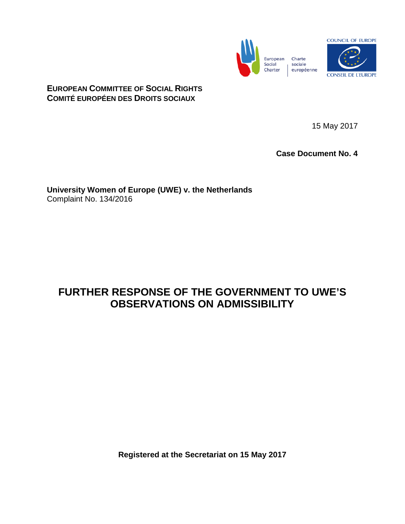



## **EUROPEAN COMMITTEE OF SOCIAL RIGHTS COMITÉ EUROPÉEN DES DROITS SOCIAUX**

15 May 2017

**Case Document No. 4**

**University Women of Europe (UWE) v. the Netherlands** Complaint No. 134/2016

## **FURTHER RESPONSE OF THE GOVERNMENT TO UWE'S OBSERVATIONS ON ADMISSIBILITY**

**Registered at the Secretariat on 15 May 2017**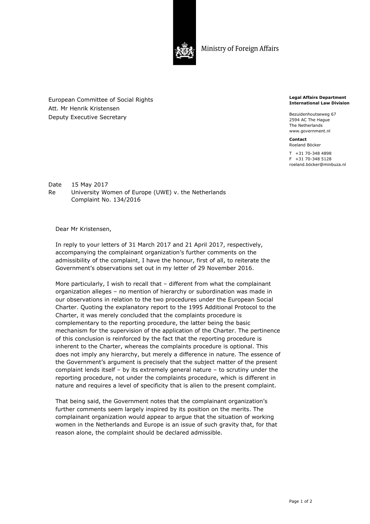

Ministry of Foreign Affairs

European Committee of Social Rights Att. Mr Henrik Kristensen Deputy Executive Secretary

**Legal Affairs Department International Law Division** 

Bezuidenhoutseweg 67 2594 AC The Hague The Netherlands www.government.nl

**Contact**  Roeland Böcker

T +31 70-348 4898 F +31 70-348 5128 roeland.böcker@minbuza.nl

Date 15 May 2017 Re University Women of Europe (UWE) v. the Netherlands Complaint No. 134/2016

Dear Mr Kristensen,

In reply to your letters of 31 March 2017 and 21 April 2017, respectively, accompanying the complainant organization's further comments on the admissibility of the complaint, I have the honour, first of all, to reiterate the Government's observations set out in my letter of 29 November 2016.

More particularly, I wish to recall that – different from what the complainant organization alleges – no mention of hierarchy or subordination was made in our observations in relation to the two procedures under the European Social Charter. Quoting the explanatory report to the 1995 Additional Protocol to the Charter, it was merely concluded that the complaints procedure is complementary to the reporting procedure, the latter being the basic mechanism for the supervision of the application of the Charter. The pertinence of this conclusion is reinforced by the fact that the reporting procedure is inherent to the Charter, whereas the complaints procedure is optional. This does not imply any hierarchy, but merely a difference in nature. The essence of the Government's argument is precisely that the subject matter of the present complaint lends itself – by its extremely general nature – to scrutiny under the reporting procedure, not under the complaints procedure, which is different in nature and requires a level of specificity that is alien to the present complaint.

That being said, the Government notes that the complainant organization's further comments seem largely inspired by its position on the merits. The complainant organization would appear to argue that the situation of working women in the Netherlands and Europe is an issue of such gravity that, for that reason alone, the complaint should be declared admissible.